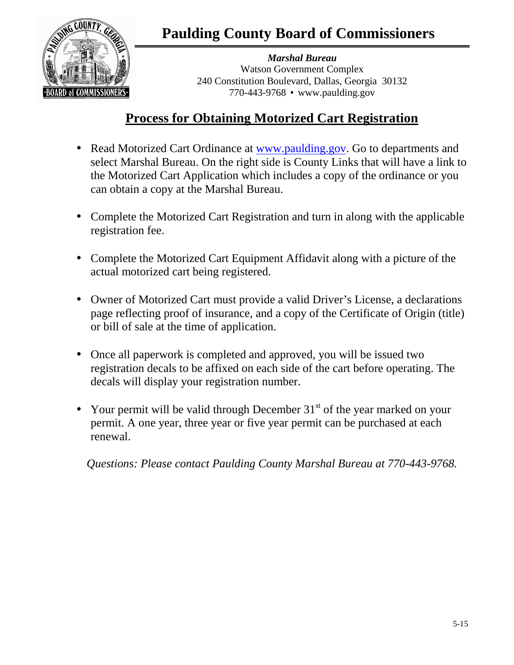**Paulding County Board of Commissioners** 



*Marshal Bureau*  Watson Government Complex 240 Constitution Boulevard, Dallas, Georgia 30132 770-443-9768 • www.paulding.gov

## **Process for Obtaining Motorized Cart Registration**

- Read Motorized Cart Ordinance at www.paulding.gov. Go to departments and select Marshal Bureau. On the right side is County Links that will have a link to the Motorized Cart Application which includes a copy of the ordinance or you can obtain a copy at the Marshal Bureau.
- Complete the Motorized Cart Registration and turn in along with the applicable registration fee.
- Complete the Motorized Cart Equipment Affidavit along with a picture of the actual motorized cart being registered.
- Owner of Motorized Cart must provide a valid Driver's License, a declarations page reflecting proof of insurance, and a copy of the Certificate of Origin (title) or bill of sale at the time of application.
- Once all paperwork is completed and approved, you will be issued two registration decals to be affixed on each side of the cart before operating. The decals will display your registration number.
- Your permit will be valid through December  $31<sup>st</sup>$  of the year marked on your permit. A one year, three year or five year permit can be purchased at each renewal.

*Questions: Please contact Paulding County Marshal Bureau at 770-443-9768.*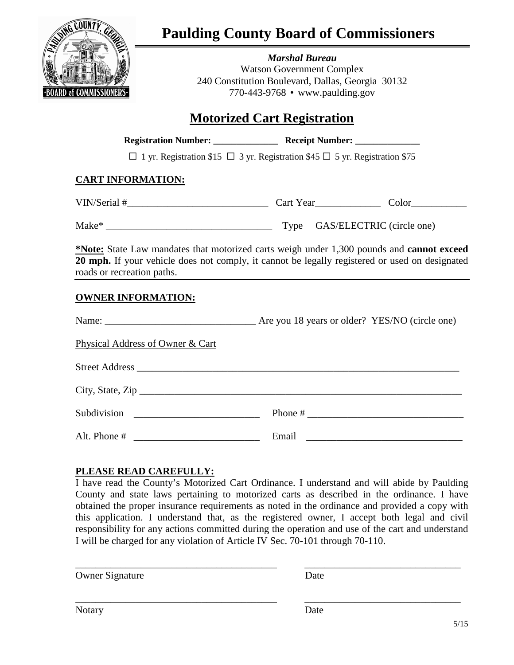

## **Paulding County Board of Commissioners**

*Marshal Bureau*  Watson Government Complex 240 Constitution Boulevard, Dallas, Georgia 30132 770-443-9768 • www.paulding.gov

## **Motorized Cart Registration**

| <b>Registration Number:</b> | <b>Receipt Number:</b> |  |
|-----------------------------|------------------------|--|
|                             |                        |  |

**□** 1 yr. Registration \$15 **□** 3 yr. Registration \$45 **□** 5 yr. Registration \$75

### **CART INFORMATION:**

VIN/Serial #\_\_\_\_\_\_\_\_\_\_\_\_\_\_\_\_\_\_\_\_\_\_\_\_\_\_\_\_ Cart Year\_\_\_\_\_\_\_\_\_\_\_\_\_ Color\_\_\_\_\_\_\_\_\_\_\_

Make\* \_\_\_\_\_\_\_\_\_\_\_\_\_\_\_\_\_\_\_\_\_\_\_\_\_\_\_\_\_\_\_\_\_ Type GAS/ELECTRIC (circle one)

**\*Note:** State Law mandates that motorized carts weigh under 1,300 pounds and **cannot exceed 20 mph.** If your vehicle does not comply, it cannot be legally registered or used on designated roads or recreation paths.

### **OWNER INFORMATION:**

| Physical Address of Owner & Cart |  |
|----------------------------------|--|
|                                  |  |
|                                  |  |
|                                  |  |
|                                  |  |

### **PLEASE READ CAREFULLY:**

I have read the County's Motorized Cart Ordinance. I understand and will abide by Paulding County and state laws pertaining to motorized carts as described in the ordinance. I have obtained the proper insurance requirements as noted in the ordinance and provided a copy with this application. I understand that, as the registered owner, I accept both legal and civil responsibility for any actions committed during the operation and use of the cart and understand I will be charged for any violation of Article IV Sec. 70-101 through 70-110.

\_\_\_\_\_\_\_\_\_\_\_\_\_\_\_\_\_\_\_\_\_\_\_\_\_\_\_\_\_\_\_\_\_\_\_\_\_\_\_\_ \_\_\_\_\_\_\_\_\_\_\_\_\_\_\_\_\_\_\_\_\_\_\_\_\_\_\_\_\_\_\_

Owner Signature Date

\_\_\_\_\_\_\_\_\_\_\_\_\_\_\_\_\_\_\_\_\_\_\_\_\_\_\_\_\_\_\_\_\_\_\_\_\_\_\_\_ \_\_\_\_\_\_\_\_\_\_\_\_\_\_\_\_\_\_\_\_\_\_\_\_\_\_\_\_\_\_\_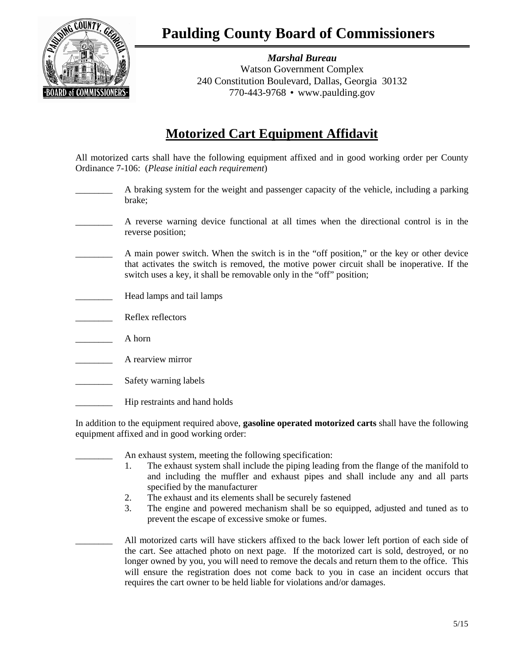

*Marshal Bureau*  Watson Government Complex 240 Constitution Boulevard, Dallas, Georgia 30132 770-443-9768 • www.paulding.gov

## **Motorized Cart Equipment Affidavit**

All motorized carts shall have the following equipment affixed and in good working order per County Ordinance 7-106: (*Please initial each requirement*)

- A braking system for the weight and passenger capacity of the vehicle, including a parking brake;
- \_\_\_\_\_\_\_\_ A reverse warning device functional at all times when the directional control is in the reverse position;
- A main power switch. When the switch is in the "off position," or the key or other device that activates the switch is removed, the motive power circuit shall be inoperative. If the switch uses a key, it shall be removable only in the "off" position;
- Head lamps and tail lamps
- Reflex reflectors
- \_\_\_\_\_\_\_\_ A horn
- A rearview mirror
- Safety warning labels
- Hip restraints and hand holds

In addition to the equipment required above, **gasoline operated motorized carts** shall have the following equipment affixed and in good working order:

An exhaust system, meeting the following specification: 1. The exhaust system shall include the piping leading from the flange of the manifold to and including the muffler and exhaust pipes and shall include any and all parts specified by the manufacturer 2. The exhaust and its elements shall be securely fastened 3. The engine and powered mechanism shall be so equipped, adjusted and tuned as to prevent the escape of excessive smoke or fumes. All motorized carts will have stickers affixed to the back lower left portion of each side of the cart. See attached photo on next page. If the motorized cart is sold, destroyed, or no longer owned by you, you will need to remove the decals and return them to the office. This will ensure the registration does not come back to you in case an incident occurs that requires the cart owner to be held liable for violations and/or damages.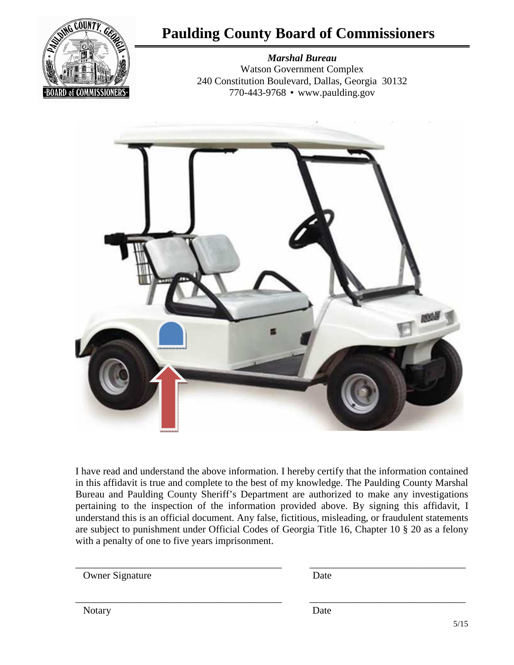

# **Paulding County Board of Commissioners**

*Marshal Bureau*  Watson Government Complex 240 Constitution Boulevard, Dallas, Georgia 30132 770-443-9768 • www.paulding.gov



I have read and understand the above information. I hereby certify that the information contained in this affidavit is true and complete to the best of my knowledge. The Paulding County Marshal Bureau and Paulding County Sheriff's Department are authorized to make any investigations pertaining to the inspection of the information provided above. By signing this affidavit, I understand this is an official document. Any false, fictitious, misleading, or fraudulent statements are subject to punishment under Official Codes of Georgia Title 16, Chapter 10 § 20 as a felony with a penalty of one to five years imprisonment.

\_\_\_\_\_\_\_\_\_\_\_\_\_\_\_\_\_\_\_\_\_\_\_\_\_\_\_\_\_\_\_\_\_\_\_\_\_\_\_\_\_ \_\_\_\_\_\_\_\_\_\_\_\_\_\_\_\_\_\_\_\_\_\_\_\_\_\_\_\_\_\_\_

\_\_\_\_\_\_\_\_\_\_\_\_\_\_\_\_\_\_\_\_\_\_\_\_\_\_\_\_\_\_\_\_\_\_\_\_\_\_\_\_\_ \_\_\_\_\_\_\_\_\_\_\_\_\_\_\_\_\_\_\_\_\_\_\_\_\_\_\_\_\_\_\_

Owner Signature Date

Notary Date **Date**